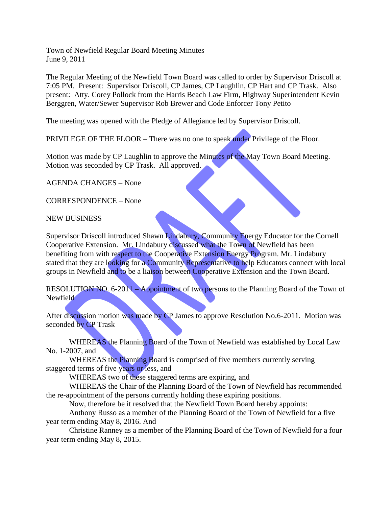Town of Newfield Regular Board Meeting Minutes June 9, 2011

The Regular Meeting of the Newfield Town Board was called to order by Supervisor Driscoll at 7:05 PM. Present: Supervisor Driscoll, CP James, CP Laughlin, CP Hart and CP Trask. Also present: Atty. Corey Pollock from the Harris Beach Law Firm, Highway Superintendent Kevin Berggren, Water/Sewer Supervisor Rob Brewer and Code Enforcer Tony Petito

The meeting was opened with the Pledge of Allegiance led by Supervisor Driscoll.

PRIVILEGE OF THE FLOOR – There was no one to speak under Privilege of the Floor.

Motion was made by CP Laughlin to approve the Minutes of the May Town Board Meeting. Motion was seconded by CP Trask. All approved.

AGENDA CHANGES – None

CORRESPONDENCE – None

NEW BUSINESS

Supervisor Driscoll introduced Shawn Lindabury, Community Energy Educator for the Cornell Cooperative Extension. Mr. Lindabury discussed what the Town of Newfield has been benefiting from with respect to the Cooperative Extension Energy Program. Mr. Lindabury stated that they are looking for a Community Representative to help Educators connect with local groups in Newfield and to be a liaison between Cooperative Extension and the Town Board.

RESOLUTION NO. 6-2011 – Appointment of two persons to the Planning Board of the Town of Newfield

After discussion motion was made by CP James to approve Resolution No.6-2011. Motion was seconded by CP Trask

WHEREAS the Planning Board of the Town of Newfield was established by Local Law No. 1-2007, and

WHEREAS the Planning Board is comprised of five members currently serving staggered terms of five years or less, and

WHEREAS two of these staggered terms are expiring, and

WHEREAS the Chair of the Planning Board of the Town of Newfield has recommended the re-appointment of the persons currently holding these expiring positions.

Now, therefore be it resolved that the Newfield Town Board hereby appoints:

Anthony Russo as a member of the Planning Board of the Town of Newfield for a five year term ending May 8, 2016. And

Christine Ranney as a member of the Planning Board of the Town of Newfield for a four year term ending May 8, 2015.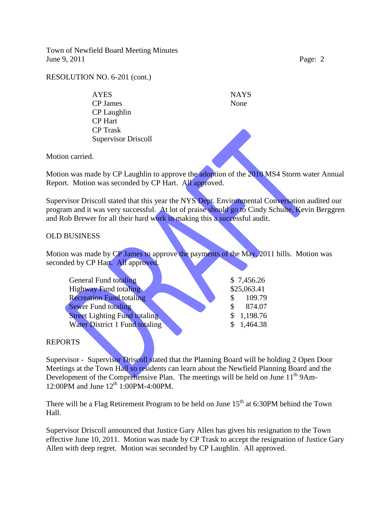Town of Newfield Board Meeting Minutes June 9, 2011 Page: 2

RESOLUTION NO. 6-201 (cont.)

AYES NAYS CP James None CP Laughlin CP Hart CP Trask Supervisor Driscoll

Motion carried.

Motion was made by CP Laughlin to approve the adoption of the 2010 MS4 Storm water Annual Report. Motion was seconded by CP Hart. All approved.

Supervisor Driscoll stated that this year the NYS Dept. Environmental Conversation audited our program and it was very successful. At lot of praise should go to Cindy Schulte, Kevin Berggren and Rob Brewer for all their hard work in making this a successful audit.

## OLD BUSINESS

Motion was made by CP James to approve the payments of the May, 2011 bills. Motion was seconded by CP Hart. All approved.

| General Fund totaling                 |               | \$7,456.26  |
|---------------------------------------|---------------|-------------|
| <b>Highway Fund totaling</b>          |               | \$25,063.41 |
| <b>Recreation Fund totaling</b>       | <sup>\$</sup> | 109.79      |
| <b>Sewer Fund totaling</b>            | \$.           | 874.07      |
| <b>Street Lighting Fund totaling</b>  |               | \$1,198.76  |
| <b>Water District 1 Fund totaling</b> |               | \$1,464.38  |

## REPORTS

Supervisor - Supervisor Driscoll stated that the Planning Board will be holding 2 Open Door Meetings at the Town Hall so residents can learn about the Newfield Planning Board and the Development of the Comprehensive Plan. The meetings will be held on June  $11<sup>th</sup>$  9Am-12:00PM and June 12<sup>th</sup> 1:00PM-4:00PM.

There will be a Flag Retirement Program to be held on June  $15<sup>th</sup>$  at 6:30PM behind the Town Hall.

Supervisor Driscoll announced that Justice Gary Allen has given his resignation to the Town effective June 10, 2011. Motion was made by CP Trask to accept the resignation of Justice Gary Allen with deep regret. Motion was seconded by CP Laughlin. All approved.